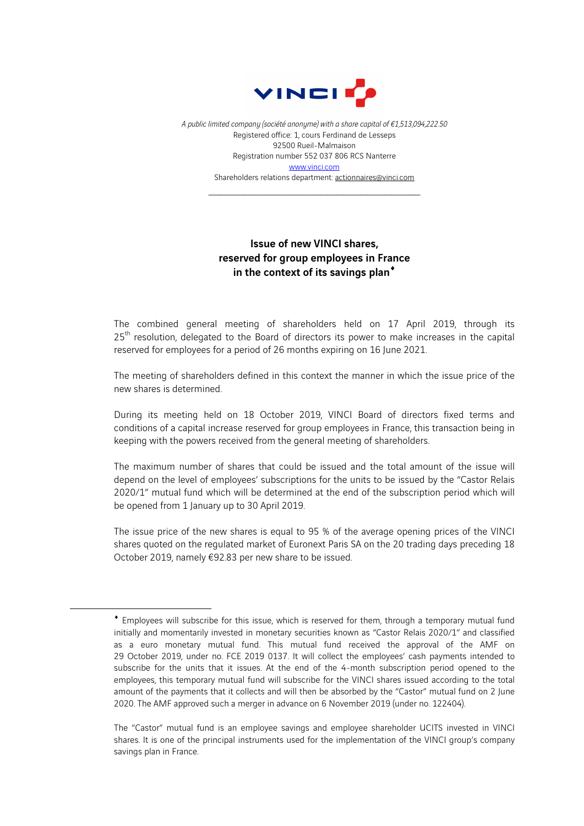

*A public limited company (société anonyme) with a share capital of €1,513,094,222.50* Registered office: 1, cours Ferdinand de Lesseps 92500 Rueil-Malmaison Registration number 552 037 806 RCS Nanterre www.vinci.com Shareholders relations department: actionnaires@vinci.com

\_\_\_\_\_\_\_\_\_\_\_\_\_\_\_\_\_\_\_\_\_\_\_\_\_\_\_\_\_\_\_\_\_\_\_\_

## Issue of new VINCI shares, reserved for group employees in France in the context of its savings plan<sup>\*</sup>

The combined general meeting of shareholders held on 17 April 2019, through its  $25<sup>th</sup>$  resolution, delegated to the Board of directors its power to make increases in the capital reserved for employees for a period of 26 months expiring on 16 June 2021.

The meeting of shareholders defined in this context the manner in which the issue price of the new shares is determined.

During its meeting held on 18 October 2019, VINCI Board of directors fixed terms and conditions of a capital increase reserved for group employees in France, this transaction being in keeping with the powers received from the general meeting of shareholders.

The maximum number of shares that could be issued and the total amount of the issue will depend on the level of employees' subscriptions for the units to be issued by the "Castor Relais 2020/1" mutual fund which will be determined at the end of the subscription period which will be opened from 1 January up to 30 April 2019.

The issue price of the new shares is equal to 95 % of the average opening prices of the VINCI shares quoted on the regulated market of Euronext Paris SA on the 20 trading days preceding 18 October 2019, namely €92.83 per new share to be issued.

 $\overline{a}$ 

<sup>¨</sup> Employees will subscribe for this issue, which is reserved for them, through a temporary mutual fund initially and momentarily invested in monetary securities known as "Castor Relais 2020/1" and classified as a euro monetary mutual fund. This mutual fund received the approval of the AMF on 29 October 2019, under no. FCE 2019 0137. It will collect the employees' cash payments intended to subscribe for the units that it issues. At the end of the 4-month subscription period opened to the employees, this temporary mutual fund will subscribe for the VINCI shares issued according to the total amount of the payments that it collects and will then be absorbed by the "Castor" mutual fund on 2 June 2020. The AMF approved such a merger in advance on 6 November 2019 (under no. 122404).

The "Castor" mutual fund is an employee savings and employee shareholder UCITS invested in VINCI shares. It is one of the principal instruments used for the implementation of the VINCI group's company savings plan in France.